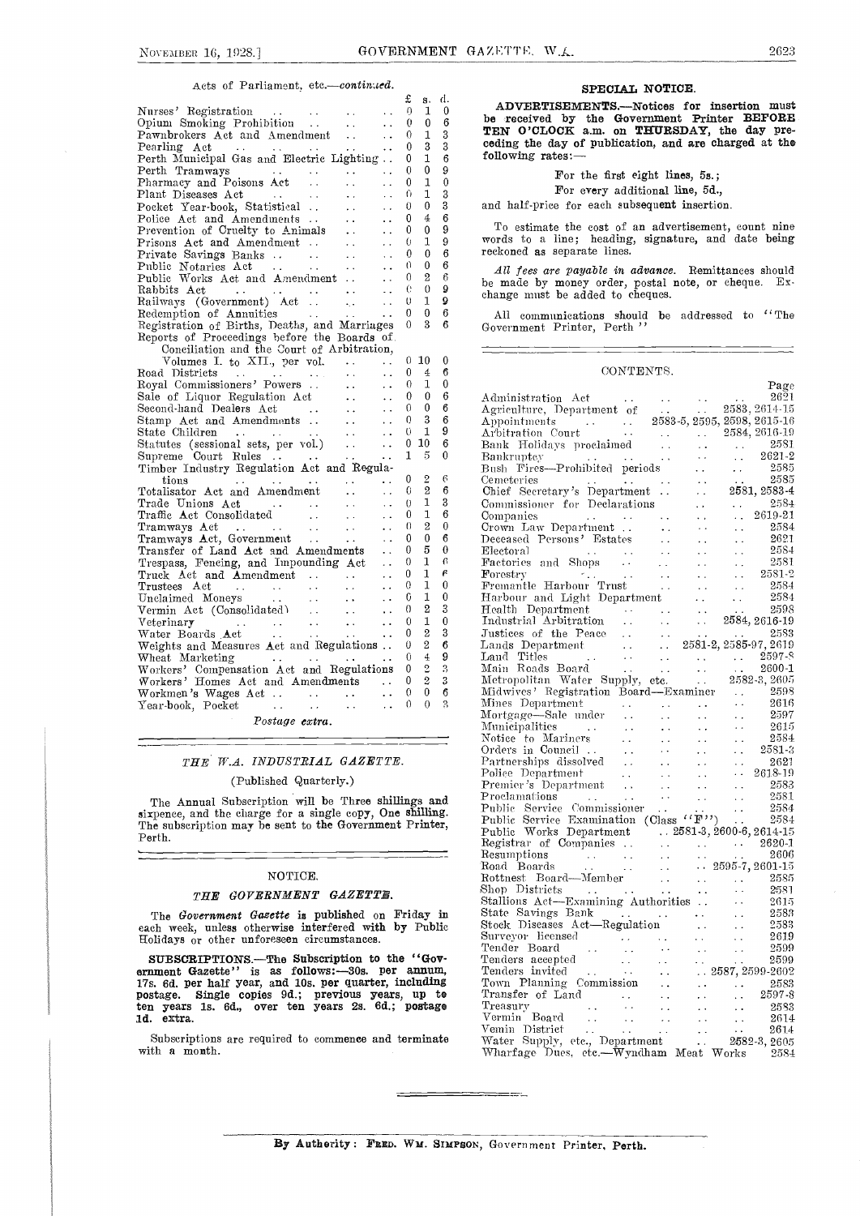#### Acts of Parliament, etc.-continued.

|                                                                                                                                                                                                            |                                                                       |                             | £                | s.             | d.          |                 |
|------------------------------------------------------------------------------------------------------------------------------------------------------------------------------------------------------------|-----------------------------------------------------------------------|-----------------------------|------------------|----------------|-------------|-----------------|
| Nurses' Registration<br>Opium Smoking Prohibition<br>Pawnbrokers Act and Amendment<br>Pearling Act (1)<br>Pearly Municipal Costar Transition (1)                                                           |                                                                       |                             | $\Omega$         | 1              | 0           |                 |
|                                                                                                                                                                                                            |                                                                       |                             | 0                | 0              | 6           | b,              |
|                                                                                                                                                                                                            |                                                                       |                             | 0                | 1              | 3           | т               |
|                                                                                                                                                                                                            |                                                                       |                             | 0                | 3              | 3           | C)              |
| Perth Municipal Gas and Electric Lighting                                                                                                                                                                  |                                                                       |                             | 0                | 1              | 6           | f٢              |
|                                                                                                                                                                                                            |                                                                       |                             | 0                | 0              | 9           |                 |
|                                                                                                                                                                                                            |                                                                       |                             | 0                | 1              | $\bf{0}$    |                 |
| Plant Diseases Act<br>$\mathcal{L}^{\text{max}}$ and $\mathcal{L}^{\text{max}}$ . Then                                                                                                                     | $\sim 10^7$                                                           | $\ddot{\phantom{0}}$        | 0                | 1              | 3           |                 |
| Pocket Year-book, Statistical                                                                                                                                                                              | $\sim 10^7$                                                           | $\ddot{\phantom{0}}$        | 0                | 0              | 3           | ar              |
| Police Act and Amendments                                                                                                                                                                                  | $\sim 10^{-11}$                                                       | $\ddot{\phantom{a}}$        | 0                | 4              | 6           |                 |
| Police Act and Amendments<br>Prevention of Cruelty to Animals<br>Prisons Act and Amendment                                                                                                                 |                                                                       | $\ddotsc$                   | 0                | 0              | 9           |                 |
|                                                                                                                                                                                                            |                                                                       | $\ddot{\phantom{0}}$        | 0                | 1              | 9           | $\nabla \nabla$ |
|                                                                                                                                                                                                            |                                                                       | $\ddotsc$                   | 0                | 0              | 6           | re              |
|                                                                                                                                                                                                            |                                                                       | $\ddot{\phantom{0}}$        | 0                | 0              | 6           |                 |
| Public Works Act and Amendment                                                                                                                                                                             |                                                                       |                             | 0                | $\overline{2}$ | 6           |                 |
| Rabbits Act                                                                                                                                                                                                |                                                                       | $\ddot{\phantom{0}}$        | 0                | 0              | 9           | bε              |
| $\sim$ .                                                                                                                                                                                                   | $\sim$ $\sim$                                                         | $\ddot{\phantom{a}}$        | $\theta$         | 1              | $\mathbf Q$ | cŀ.             |
| Railways (Government) Act                                                                                                                                                                                  |                                                                       | $\ddotsc$                   |                  |                |             |                 |
|                                                                                                                                                                                                            |                                                                       | $\ddotsc$                   | 0                | 0              | 6           |                 |
| Registration of Births, Deaths, and Marriages                                                                                                                                                              |                                                                       |                             | 0                | 3              | 6           | G.              |
| Reports of Proceedings before the Boards of                                                                                                                                                                |                                                                       |                             |                  |                |             |                 |
| Conciliation and the Court of Arbitration,                                                                                                                                                                 |                                                                       |                             |                  |                |             |                 |
| Volumes I. to XII., per vol. $\ldots$                                                                                                                                                                      |                                                                       | $\mathcal{L}^{\mathcal{L}}$ | 0                | 10             | 0           |                 |
| Road Districts<br>$\frac{1}{\sqrt{2}}$ , and $\frac{1}{\sqrt{2}}$ , and $\frac{1}{\sqrt{2}}$ , and $\frac{1}{\sqrt{2}}$<br>$\sim 100$                                                                      |                                                                       | $\ddotsc$                   | 0                | 4              | 6           |                 |
| Royal Commissioners' Powers                                                                                                                                                                                | $\sim 10^{-1}$                                                        | $\ddot{\phantom{a}}$        | 0                | 1              | 0           |                 |
|                                                                                                                                                                                                            |                                                                       | $\ddotsc$                   | 0                | $\theta$       | 6           | A.              |
|                                                                                                                                                                                                            |                                                                       | $\ddot{\phantom{a}}$        | 0                | 0              | 6           | A,              |
|                                                                                                                                                                                                            |                                                                       | $\ddot{\phantom{0}}$        | 0                | 3              | 6           | A               |
|                                                                                                                                                                                                            |                                                                       | $\ddot{\phantom{0}}$        | Ü                | 1              | 9           | А               |
| National Commission and Medicine Regulation Act<br>Second-hand Dealers Act<br>Stamp Act and Amendments<br>Statutes (sessional sets, per vol.)<br>Statutes (sessional sets, per vol.)<br>Supreme Court Rues |                                                                       | $\ddot{\phantom{a}}$        |                  | $0\quad10$     | 6           | $B_i$           |
|                                                                                                                                                                                                            |                                                                       | $\ddotsc$                   | 1                | 5              | 0           | B               |
| Timber Industry Regulation Act and Regula-                                                                                                                                                                 |                                                                       |                             |                  |                |             | $\mathbf{B}$    |
|                                                                                                                                                                                                            |                                                                       |                             | 0                | 2              | 6           | Сc              |
|                                                                                                                                                                                                            |                                                                       | $\ddot{\phantom{0}}$        | O                | $\overline{2}$ | 6           | C.              |
|                                                                                                                                                                                                            |                                                                       | $\ddot{\phantom{a}}$        | $\left( \right)$ | 1              | 3           | Co              |
|                                                                                                                                                                                                            |                                                                       |                             | 0                | 1              | 6           | Co              |
|                                                                                                                                                                                                            |                                                                       | $\ddot{\phantom{0}}$        | $\theta$         | $\overline{2}$ | $\bf{0}$    |                 |
|                                                                                                                                                                                                            |                                                                       | $\ddot{\phantom{0}}$        |                  | 0              | 6           | Cı              |
|                                                                                                                                                                                                            |                                                                       | $\sim$ $\sim$               | 0                | 5              |             | D,              |
| Transfer of Land Act and Amendments                                                                                                                                                                        |                                                                       | $\ddotsc$                   | 0                |                | 0<br>6      | E               |
| Trespass, Fencing, and Impounding Act                                                                                                                                                                      |                                                                       | $\sim$ $\sim$               | 0                | 1              |             | $\mathbf{F}$    |
| Truck Act and Amendment                                                                                                                                                                                    |                                                                       | $\ddotsc$                   | 0                | 1              | ρ           | $\mathbf{F}$    |
| Trustees Act<br>Unclaimed Moneys<br>Vermin Act (Consolidated)<br>Veterinary<br>Water Boards Act<br>Weights and Measures Act and Regulations<br>Weights and Measures Act and Regulations                    |                                                                       |                             | 0                | $\mathbf{1}$   | 0           | $\mathbf{F}$    |
|                                                                                                                                                                                                            |                                                                       |                             | 6                | 1              | 0           | н               |
|                                                                                                                                                                                                            |                                                                       |                             | 0                | 2              | 3           | Ħ.              |
|                                                                                                                                                                                                            |                                                                       |                             | 0                | 1              | 0           | Iι              |
|                                                                                                                                                                                                            |                                                                       |                             | 0                | $\overline{2}$ | 3           | Jι              |
|                                                                                                                                                                                                            |                                                                       |                             | 0                | 2              | 6           | Li              |
| Wheat Marketing<br>$\mathcal{L}^{\text{max}}_{\text{max}}$ , where $\mathcal{L}^{\text{max}}_{\text{max}}$                                                                                                 | $\mathcal{A}$ and $\mathcal{A}$ are $\mathcal{A}$ . The $\mathcal{A}$ | $\sim$ $\sim$ $\sim$        | 0.               | $\overline{4}$ | 9           | L               |
| Workers' Compensation Act and Regulations                                                                                                                                                                  |                                                                       |                             | 0                | $\overline{c}$ | 3           | М               |
| Workers' Homes Act and Amendments                                                                                                                                                                          |                                                                       |                             | 0                | $\overline{2}$ | 3           | М               |
|                                                                                                                                                                                                            |                                                                       | $\ddot{\phantom{0}}$        | 0                | $\mathbf{0}$   | 6           | М               |
|                                                                                                                                                                                                            |                                                                       | $\ddot{\phantom{0}}$        | 0                | $\Omega$       | 3           | M               |
| <b>Contractor Contractor Contractor</b>                                                                                                                                                                    |                                                                       |                             |                  |                |             | М               |
|                                                                                                                                                                                                            |                                                                       |                             |                  |                |             |                 |

#### Postage extra.

#### THE W.A. INDUSTRIAL GAZETTE. (Published Quarterly.)

The Annual Subscription will be Three shillings and sixpence, and the charge for a single copy, One shilling. The subscription may be sent to the Government Printer, Perth.

#### NOTICE.

#### THE GOVERNMENT GAZETTB.

The Government Gazette is published on Friday in each week, unless otherwise interfered with by Public Holidays or other unforeseen circumstances.

SUBSCRIPTIONS.—The Subscription to the "Gov-<br>ernment Gazette" is as follows:-30s. per annum,<br>17s. 6d. per half year, and 10s. per quarter, including<br>Single expire of 10s. per quarter, including postage. Single copies 9d.; previous years, up to Transf ten years is. 6d., over ten years 2s. 6d.; postage Tre 1d. extra.

Subscriptions are required to commence and terminate with a month.

#### SPECIAL NOTICE.

ADVERTISEMENTS.-Notices for insertion must be received by the Government Printer BEFORE TEN O'CLOCK a.m. on THURSDAY, the day pre-<br>ceding the day of publication, and are charged at the following rates:

For the first eight lines, 58.;

For every additional line, 5d.,

0 0 3 and half-price for each subsequent insertion.

To estimate the cost of an advertisement, count nine words to a line; heading, signature, and date being reckoned as separate lines.

 $\frac{0}{1}$   $\frac{9}{0}$  change must be added to cheques. All fees are payable in advance. Remittances should made by money order, postal note, or cheque.  $Ex$ be made by money order, postal note, or cheque.

0 3 6 Government Printer, Perth" All communications should be addressed to "The

#### CONTENTS.

| $\begin{tabular}{l c c c} Adminitistratio & \mbox{\bf 2691} & \mbox{\bf 2692} \\ \multicolumn{1}{c}{\textbf{A}} & \mbox{\bf 2691} & \mbox{\bf 2614-155} \\ \multicolumn{1}{c}{\textbf{A}} & \mbox{\bf 2691} & \mbox{\bf 2693} & \mbox{\bf 2614-155} \\ \multicolumn{1}{c}{\textbf{A}} & \mbox{\bf 2691} & \mbox{\bf 2694} & \mbox{\bf 2695} \\ \multicolumn{1}{c}{\textbf{B}} & \mbox{\bf 26$ |  |  |
|-----------------------------------------------------------------------------------------------------------------------------------------------------------------------------------------------------------------------------------------------------------------------------------------------------------------------------------------------------------------------------------------------|--|--|
|                                                                                                                                                                                                                                                                                                                                                                                               |  |  |
|                                                                                                                                                                                                                                                                                                                                                                                               |  |  |
|                                                                                                                                                                                                                                                                                                                                                                                               |  |  |
|                                                                                                                                                                                                                                                                                                                                                                                               |  |  |
|                                                                                                                                                                                                                                                                                                                                                                                               |  |  |
|                                                                                                                                                                                                                                                                                                                                                                                               |  |  |
|                                                                                                                                                                                                                                                                                                                                                                                               |  |  |
|                                                                                                                                                                                                                                                                                                                                                                                               |  |  |
|                                                                                                                                                                                                                                                                                                                                                                                               |  |  |
|                                                                                                                                                                                                                                                                                                                                                                                               |  |  |
|                                                                                                                                                                                                                                                                                                                                                                                               |  |  |
|                                                                                                                                                                                                                                                                                                                                                                                               |  |  |
|                                                                                                                                                                                                                                                                                                                                                                                               |  |  |
|                                                                                                                                                                                                                                                                                                                                                                                               |  |  |
|                                                                                                                                                                                                                                                                                                                                                                                               |  |  |
|                                                                                                                                                                                                                                                                                                                                                                                               |  |  |
|                                                                                                                                                                                                                                                                                                                                                                                               |  |  |
|                                                                                                                                                                                                                                                                                                                                                                                               |  |  |
|                                                                                                                                                                                                                                                                                                                                                                                               |  |  |
|                                                                                                                                                                                                                                                                                                                                                                                               |  |  |
|                                                                                                                                                                                                                                                                                                                                                                                               |  |  |
|                                                                                                                                                                                                                                                                                                                                                                                               |  |  |
|                                                                                                                                                                                                                                                                                                                                                                                               |  |  |
|                                                                                                                                                                                                                                                                                                                                                                                               |  |  |
|                                                                                                                                                                                                                                                                                                                                                                                               |  |  |
|                                                                                                                                                                                                                                                                                                                                                                                               |  |  |
|                                                                                                                                                                                                                                                                                                                                                                                               |  |  |
|                                                                                                                                                                                                                                                                                                                                                                                               |  |  |
|                                                                                                                                                                                                                                                                                                                                                                                               |  |  |
|                                                                                                                                                                                                                                                                                                                                                                                               |  |  |
|                                                                                                                                                                                                                                                                                                                                                                                               |  |  |
|                                                                                                                                                                                                                                                                                                                                                                                               |  |  |
|                                                                                                                                                                                                                                                                                                                                                                                               |  |  |
|                                                                                                                                                                                                                                                                                                                                                                                               |  |  |
|                                                                                                                                                                                                                                                                                                                                                                                               |  |  |
|                                                                                                                                                                                                                                                                                                                                                                                               |  |  |
|                                                                                                                                                                                                                                                                                                                                                                                               |  |  |
|                                                                                                                                                                                                                                                                                                                                                                                               |  |  |
|                                                                                                                                                                                                                                                                                                                                                                                               |  |  |
|                                                                                                                                                                                                                                                                                                                                                                                               |  |  |
|                                                                                                                                                                                                                                                                                                                                                                                               |  |  |
|                                                                                                                                                                                                                                                                                                                                                                                               |  |  |
|                                                                                                                                                                                                                                                                                                                                                                                               |  |  |
|                                                                                                                                                                                                                                                                                                                                                                                               |  |  |
|                                                                                                                                                                                                                                                                                                                                                                                               |  |  |
|                                                                                                                                                                                                                                                                                                                                                                                               |  |  |
|                                                                                                                                                                                                                                                                                                                                                                                               |  |  |
|                                                                                                                                                                                                                                                                                                                                                                                               |  |  |
|                                                                                                                                                                                                                                                                                                                                                                                               |  |  |
|                                                                                                                                                                                                                                                                                                                                                                                               |  |  |
|                                                                                                                                                                                                                                                                                                                                                                                               |  |  |
|                                                                                                                                                                                                                                                                                                                                                                                               |  |  |
|                                                                                                                                                                                                                                                                                                                                                                                               |  |  |
|                                                                                                                                                                                                                                                                                                                                                                                               |  |  |
|                                                                                                                                                                                                                                                                                                                                                                                               |  |  |
|                                                                                                                                                                                                                                                                                                                                                                                               |  |  |
|                                                                                                                                                                                                                                                                                                                                                                                               |  |  |
|                                                                                                                                                                                                                                                                                                                                                                                               |  |  |
|                                                                                                                                                                                                                                                                                                                                                                                               |  |  |
|                                                                                                                                                                                                                                                                                                                                                                                               |  |  |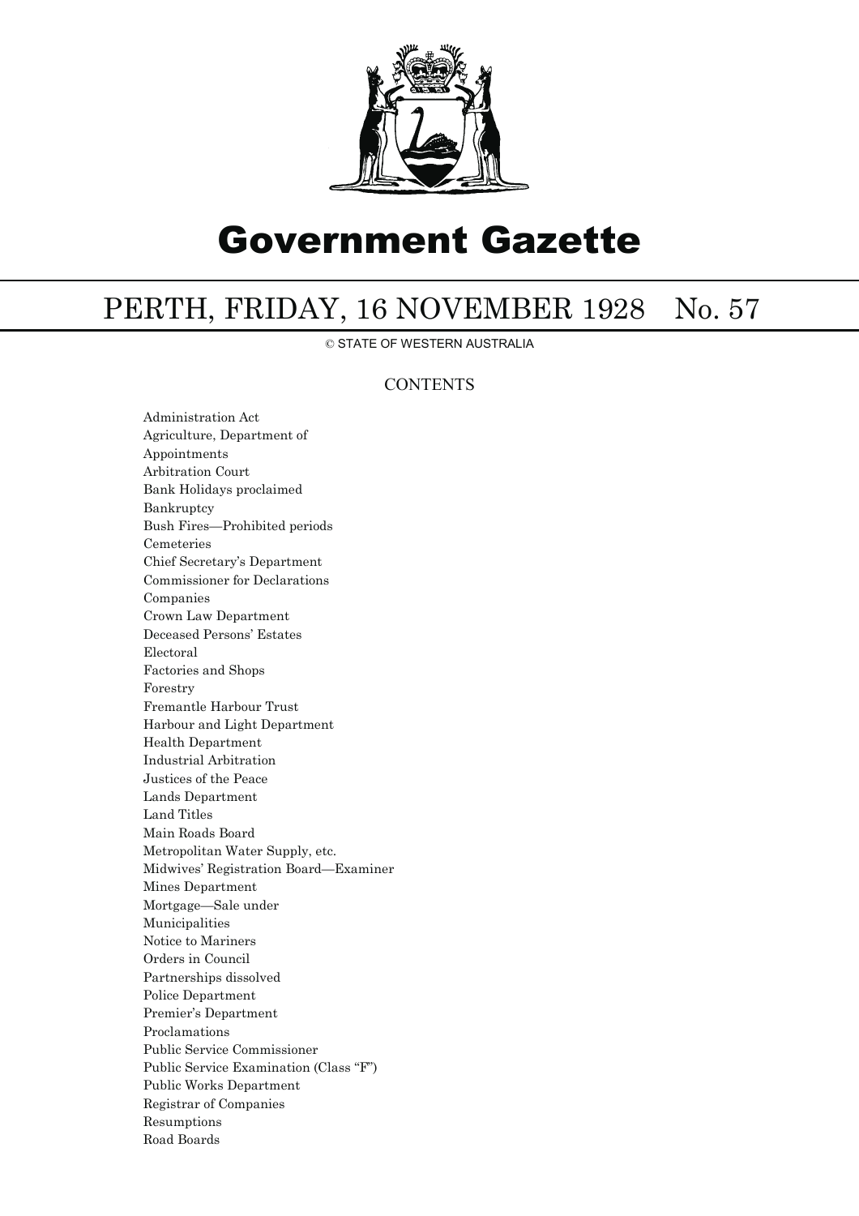

# Government Gazette

## PERTH, FRIDAY, 16 NOVEMBER 1928 No. 57

© STATE OF WESTERN AUSTRALIA

### **CONTENTS**

Administration Act Agriculture, Department of Appointments Arbitration Court Bank Holidays proclaimed Bankruptcy Bush Fires—Prohibited periods Cemeteries Chief Secretary's Department Commissioner for Declarations Companies Crown Law Department Deceased Persons' Estates Electoral Factories and Shops Forestry Fremantle Harbour Trust Harbour and Light Department Health Department Industrial Arbitration Justices of the Peace Lands Department Land Titles Main Roads Board Metropolitan Water Supply, etc. Midwives' Registration Board—Examiner Mines Department Mortgage—Sale under Municipalities Notice to Mariners Orders in Council Partnerships dissolved Police Department Premier's Department Proclamations Public Service Commissioner Public Service Examination (Class "F") Public Works Department Registrar of Companies Resumptions Road Boards